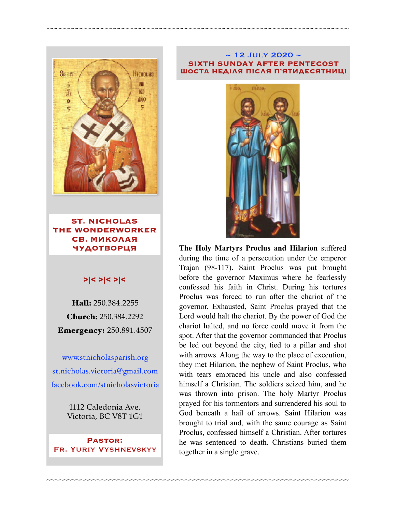

**ST. NICHOLAS THE WONDERWORKER СВ. МИКОЛАЯ ЧУДОТВОРЦЯ**

### >|< >|< >|<

Hall: 250.384.2255 Church: 250.384.2292 Emergency: 250.891.4507

[www.stnicholasparish.org](http://www.stnicholasparish.org) [st.nicholas.victoria@gmail.com](mailto:st.nicholas.victoria@gmail.com) [facebook.com/stnicholasvictoria](http://facebook.com/stnicholasvictoria)

> 1112 Caledonia Ave. Victoria, BC V8T 1G1

**Pastor:**  Fr. Yuriy Vyshnevskyy

#### $\sim$  12 JULY 2020  $\sim$ **SIXTH SUNDAY AFTER PENTECOST ШОСТА НЕДІЛЯ ПІСЛЯ П'ЯТИДЕСЯТНИЦІ**

~~~~~~~~~~~~~~~~~~~~~~~~~~~~~~~~~~~~~~~~~~~~~~~~~~~~~~~~~~~~~~~~~~~~~~~~

~~~~~~~~~~~~~~~~~~~~~~~~~~~~~~~~~~~~~~~~~~~~~~~~~~~~~~~~~~~~~~~~~~~~~~~~



**The Holy Martyrs Proclus and Hilarion** suffered during the time of a persecution under the emperor Trajan (98-117). Saint Proclus was put brought before the governor Maximus where he fearlessly confessed his faith in Christ. During his tortures Proclus was forced to run after the chariot of the governor. Exhausted, Saint Proclus prayed that the Lord would halt the chariot. By the power of God the chariot halted, and no force could move it from the spot. After that the governor commanded that Proclus be led out beyond the city, tied to a pillar and shot with arrows. Along the way to the place of execution, they met Hilarion, the nephew of Saint Proclus, who with tears embraced his uncle and also confessed himself a Christian. The soldiers seized him, and he was thrown into prison. The holy Martyr Proclus prayed for his tormentors and surrendered his soul to God beneath a hail of arrows. Saint Hilarion was brought to trial and, with the same courage as Saint Proclus, confessed himself a Christian. After tortures he was sentenced to death. Christians buried them together in a single grave.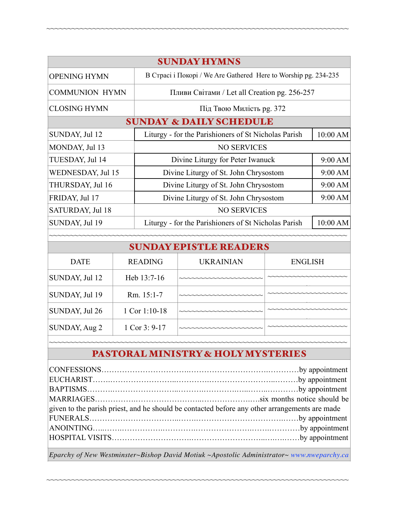| <b>SUNDAY HYMNS</b>                |                |                                                                 |                  |                |          |  |  |
|------------------------------------|----------------|-----------------------------------------------------------------|------------------|----------------|----------|--|--|
| <b>OPENING HYMN</b>                |                | В Страсі і Покорі / We Are Gathered Here to Worship pg. 234-235 |                  |                |          |  |  |
| <b>COMMUNION HYMN</b>              |                | Пливи Світами / Let all Creation pg. 256-257                    |                  |                |          |  |  |
| <b>CLOSING HYMN</b>                |                | Під Твою Милість рg. 372                                        |                  |                |          |  |  |
| <b>SUNDAY &amp; DAILY SCHEDULE</b> |                |                                                                 |                  |                |          |  |  |
| SUNDAY, Jul 12                     |                | Liturgy - for the Parishioners of St Nicholas Parish            |                  |                | 10:00 AM |  |  |
| MONDAY, Jul 13                     |                | <b>NO SERVICES</b>                                              |                  |                |          |  |  |
| TUESDAY, Jul 14                    |                | Divine Liturgy for Peter Iwanuck                                |                  |                | 9:00 AM  |  |  |
| WEDNESDAY, Jul 15                  |                | Divine Liturgy of St. John Chrysostom                           |                  |                | 9:00 AM  |  |  |
| THURSDAY, Jul 16                   |                | Divine Liturgy of St. John Chrysostom                           |                  |                | 9:00 AM  |  |  |
| FRIDAY, Jul 17                     |                | Divine Liturgy of St. John Chrysostom                           |                  |                | 9:00 AM  |  |  |
| SATURDAY, Jul 18                   |                | <b>NO SERVICES</b>                                              |                  |                |          |  |  |
| SUNDAY, Jul 19                     |                | Liturgy - for the Parishioners of St Nicholas Parish            |                  |                | 10:00 AM |  |  |
|                                    |                |                                                                 |                  |                |          |  |  |
| <b>SUNDAY EPISTLE READERS</b>      |                |                                                                 |                  |                |          |  |  |
| <b>DATE</b>                        | <b>READING</b> |                                                                 | <b>UKRAINIAN</b> | <b>ENGLISH</b> |          |  |  |
| SUNDAY, Jul 12                     | Heb 13:7-16    |                                                                 |                  |                |          |  |  |
| SUNDAY, Jul 19                     | Rm. 15:1-7     |                                                                 |                  |                |          |  |  |
| SUNDAY, Jul 26                     | 1 Cor 1:10-18  |                                                                 |                  |                |          |  |  |
| SUNDAY, Aug 2                      | 1 Cor 3: 9-17  |                                                                 |                  |                |          |  |  |
|                                    |                |                                                                 |                  |                |          |  |  |

~~~~~~~~~~~~~~~~~~~~~~~~~~~~~~~~~~~~~~~~~~~~~~~~~~~~~~~~~~~~~~~~~~~~~~~~

# PASTORAL MINISTRY & HOLY MYSTERIES

| given to the parish priest, and he should be contacted before any other arrangements are made |  |  |  |  |
|-----------------------------------------------------------------------------------------------|--|--|--|--|
|                                                                                               |  |  |  |  |
|                                                                                               |  |  |  |  |
|                                                                                               |  |  |  |  |
|                                                                                               |  |  |  |  |

*Eparchy of New Westminster~Bishop David Motiuk ~Apostolic Administrator~ [www.nweparchy.ca](http://www.nweparchy.ca)*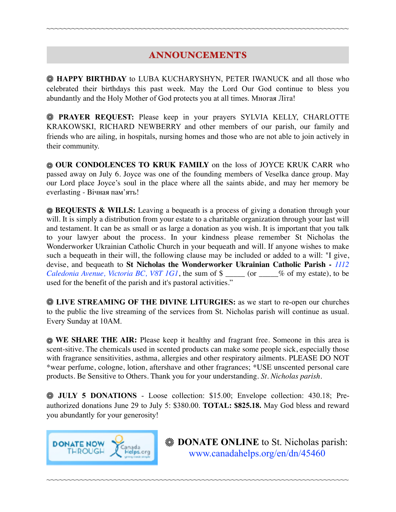# ANNOUNCEMENTS

~~~~~~~~~~~~~~~~~~~~~~~~~~~~~~~~~~~~~~~~~~~~~~~~~~~~~~~~~~~~~~~~~~~~~~~~

**HAPPY BIRTHDAY** to LUBA KUCHARYSHYN, PETER IWANUCK and all those who celebrated their birthdays this past week. May the Lord Our God continue to bless you abundantly and the Holy Mother of God protects you at all times. Многая Літа!

**PRAYER REQUEST:** Please keep in your prayers SYLVIA KELLY, CHARLOTTE KRAKOWSKI, RICHARD NEWBERRY and other members of our parish, our family and friends who are ailing, in hospitals, nursing homes and those who are not able to join actively in their community.

**WE OUR CONDOLENCES TO KRUK FAMILY** on the loss of JOYCE KRUK CARR who passed away on July 6. Joyce was one of the founding members of Veselka dance group. May our Lord place Joyce's soul in the place where all the saints abide, and may her memory be everlasting - Вічная пам'ять!

**BEQUESTS & WILLS:** Leaving a bequeath is a process of giving a donation through your will. It is simply a distribution from your estate to a charitable organization through your last will and testament. It can be as small or as large a donation as you wish. It is important that you talk to your lawyer about the process. In your kindness please remember St Nicholas the Wonderworker Ukrainian Catholic Church in your bequeath and will. If anyone wishes to make such a bequeath in their will, the following clause may be included or added to a will: "I give, devise, and bequeath to **St Nicholas the Wonderworker Ukrainian Catholic Parish -** *1112 Caledonia Avenue, Victoria BC, V8T 1G1*, the sum of \$ \_\_\_\_\_ (or \_\_\_\_% of my estate), to be used for the benefit of the parish and it's pastoral activities."

**EXAMING OF THE DIVINE LITURGIES:** as we start to re-open our churches to the public the live streaming of the services from St. Nicholas parish will continue as usual. Every Sunday at 10AM.

**WE SHARE THE AIR:** Please keep it healthy and fragrant free. Someone in this area is scent-sitive. The chemicals used in scented products can make some people sick, especially those with fragrance sensitivities, asthma, allergies and other respiratory ailments. PLEASE DO NOT \*wear perfume, cologne, lotion, aftershave and other fragrances; \*USE unscented personal care products. Be Sensitive to Others. Thank you for your understanding. *St. Nicholas parish.* 

**WE JULY 5 DONATIONS** - Loose collection: \$15.00; Envelope collection: 430.18; Preauthorized donations June 29 to July 5: \$380.00. **TOTAL: \$825.18.** May God bless and reward you abundantly for your generosity!

~~~~~~~~~~~~~~~~~~~~~~~~~~~~~~~~~~~~~~~~~~~~~~~~~~~~~~~~~~~~~~~~~~~~~~~~



**EXAMPLE ONLINE** to St. Nicholas parish: [www.canadahelps.org/en/dn/45460](http://www.canadahelps.org/en/dn/45460)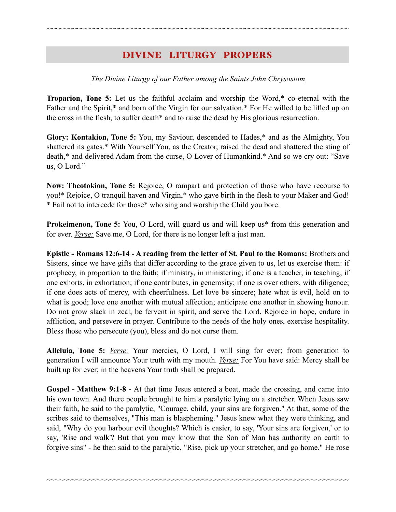# DIVINE LITURGY PROPERS

~~~~~~~~~~~~~~~~~~~~~~~~~~~~~~~~~~~~~~~~~~~~~~~~~~~~~~~~~~~~~~~~~~~~~~~~

#### *The Divine Liturgy of our Father among the Saints John Chrysostom*

**Troparion, Tone 5:** Let us the faithful acclaim and worship the Word,\* co-eternal with the Father and the Spirit,\* and born of the Virgin for our salvation.\* For He willed to be lifted up on the cross in the flesh, to suffer death\* and to raise the dead by His glorious resurrection.

**Glory: Kontakion, Tone 5:** You, my Saviour, descended to Hades,\* and as the Almighty, You shattered its gates.\* With Yourself You, as the Creator, raised the dead and shattered the sting of death,\* and delivered Adam from the curse, O Lover of Humankind.\* And so we cry out: "Save us, O Lord."

**Now: Theotokion, Tone 5:** Rejoice, O rampart and protection of those who have recourse to you!\* Rejoice, O tranquil haven and Virgin,\* who gave birth in the flesh to your Maker and God! \* Fail not to intercede for those\* who sing and worship the Child you bore.

**Prokeimenon, Tone 5:** You, O Lord, will guard us and will keep us<sup>\*</sup> from this generation and for ever. *Verse:* Save me, O Lord, for there is no longer left a just man.

**Epistle - Romans 12:6-14 - A reading from the letter of St. Paul to the Romans:** Brothers and Sisters, since we have gifts that differ according to the grace given to us, let us exercise them: if prophecy, in proportion to the faith; if ministry, in ministering; if one is a teacher, in teaching; if one exhorts, in exhortation; if one contributes, in generosity; if one is over others, with diligence; if one does acts of mercy, with cheerfulness. Let love be sincere; hate what is evil, hold on to what is good; love one another with mutual affection; anticipate one another in showing honour. Do not grow slack in zeal, be fervent in spirit, and serve the Lord. Rejoice in hope, endure in affliction, and persevere in prayer. Contribute to the needs of the holy ones, exercise hospitality. Bless those who persecute (you), bless and do not curse them.

**Alleluia, Tone 5:** *Verse:* Your mercies, O Lord, I will sing for ever; from generation to generation I will announce Your truth with my mouth. *Verse:* For You have said: Mercy shall be built up for ever; in the heavens Your truth shall be prepared.

**Gospel - Matthew 9:1-8 -** At that time Jesus entered a boat, made the crossing, and came into his own town. And there people brought to him a paralytic lying on a stretcher. When Jesus saw their faith, he said to the paralytic, "Courage, child, your sins are forgiven." At that, some of the scribes said to themselves, "This man is blaspheming." Jesus knew what they were thinking, and said, "Why do you harbour evil thoughts? Which is easier, to say, 'Your sins are forgiven,' or to say, 'Rise and walk'? But that you may know that the Son of Man has authority on earth to forgive sins" - he then said to the paralytic, "Rise, pick up your stretcher, and go home." He rose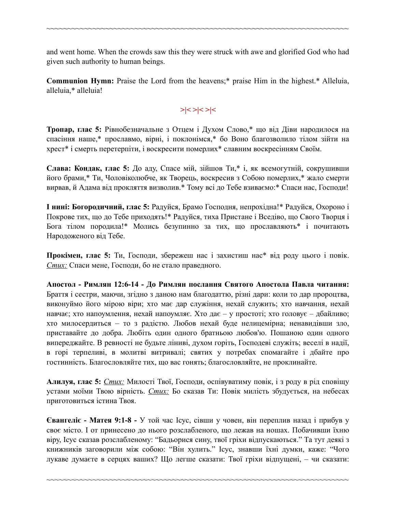and went home. When the crowds saw this they were struck with awe and glorified God who had given such authority to human beings.

~~~~~~~~~~~~~~~~~~~~~~~~~~~~~~~~~~~~~~~~~~~~~~~~~~~~~~~~~~~~~~~~~~~~~~~~

**Communion Hymn:** Praise the Lord from the heavens;\* praise Him in the highest.\* Alleluia, alleluia,\* alleluia!

## **>|< >|< >|<**

**Тропар, глас 5:** Рівнобезначальне з Отцем і Духом Слово,\* що від Діви народилося на спасіння наше,\* прославмо, вірні, і поклонімся,\* бо Воно благозволило тілом зійти на хрест\* і смерть перетерпіти, і воскресити померлих\* славним воскресінням Своїм.

**Слава: Кондак, глас 5:** До аду, Спасе мій, зійшов Ти,\* і, як всемогутній, сокрушивши його брами,\* Ти, Чоловіколюбче, як Творець, воскресив з Собою померлих,\* жало смерти вирвав, й Адама від прокляття визволив.\* Тому всі до Тебе взиваємо:\* Спаси нас, Господи!

**І нині: Богородичний, глас 5:** Радуйся, Брамо Господня, непрохідна!\* Радуйся, Охороно і Покрове тих, що до Тебе приходять!\* Радуйся, тиха Пристане і Вседіво, що Свого Творця і Бога тілом породила!\* Молись безупинно за тих, що прославляють\* і почитають Народоженого від Тебе.

**Прокімен, глас 5:** Ти, Господи, збережеш нас і захистиш нас\* від роду цього і повік. *Стих:* Спаси мене, Господи, бо не стало праведного.

**Апостол - Римлян 12:6-14 - До Римлян послання Святого Апостола Павла читання:** Браття і сестри, маючи, згідно з даною нам благодаттю, різні дари: коли то дар пророцтва, виконуймо його мірою віри; хто має дар служіння, нехай служить; хто навчання, нехай навчає; хто напоумлення, нехай напоумляє. Хто дає – у простоті; хто головує – дбайливо; хто милосердиться – то з радістю. Любов нехай буде нелицемірна; ненавидівши зло, приставайте до добра. Любіть один одного братньою любов'ю. Пошаною один одного випереджайте. В ревності не будьте ліниві, духом горіть, Господеві служіть; веселі в надії, в горі терпеливі, в молитві витривалі; святих у потребах спомагайте і дбайте про гостинність. Благословляйте тих, що вас гонять; благословляйте, не проклинайте.

**Алилуя, глас 5:** *Стих:* Милості Твої, Господи, оспівуватиму повік, і з роду в рід сповіщу устами моїми Твою вірність. *Стих:* Бо сказав Ти: Повік милість збудується, на небесах приготовиться істина Твоя.

**Євангеліє - Матея 9:1-8 -** У той час Ісус, сівши у човен, він переплив назад і прибув у своє місто. І от принесено до нього розслабленого, що лежав на ношах. Побачивши їхню віру, Ісус сказав розслабленому: "Бадьорися сину, твої гріхи відпускаються." Та тут деякі з книжників заговорили між собою: "Він хулить." Ісус, знавши їхні думки, каже: "Чого лукаве думаєте в серцях ваших? Що легше сказати: Твої гріхи відпущені, – чи сказати: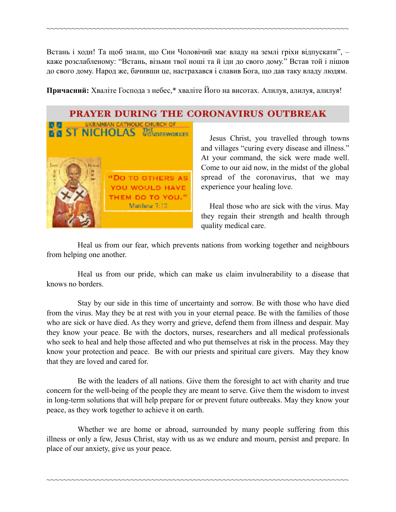Встань і ходи! Та щоб знали, що Син Чоловічий має владу на землі гріхи відпускати", – каже розслабленому: "Встань, візьми твої ноші та й іди до свого дому." Встав той і пішов до свого дому. Народ же, бачивши це, настрахався і славив Бога, що дав таку владу людям.

~~~~~~~~~~~~~~~~~~~~~~~~~~~~~~~~~~~~~~~~~~~~~~~~~~~~~~~~~~~~~~~~~~~~~~~~

**Причасний:** Хваліте Господа з небес,\* хваліте Його на висотах. Алилуя, алилуя, алилуя!

### PRAYER DURING THE CORONAVIRUS OUTBREAK



Jesus Christ, you travelled through towns and villages "curing every disease and illness." At your command, the sick were made well. Come to our aid now, in the midst of the global spread of the coronavirus, that we may experience your healing love.

 Heal those who are sick with the virus. May they regain their strength and health through quality medical care.

Heal us from our fear, which prevents nations from working together and neighbours from helping one another.

Heal us from our pride, which can make us claim invulnerability to a disease that knows no borders.

Stay by our side in this time of uncertainty and sorrow. Be with those who have died from the virus. May they be at rest with you in your eternal peace. Be with the families of those who are sick or have died. As they worry and grieve, defend them from illness and despair. May they know your peace. Be with the doctors, nurses, researchers and all medical professionals who seek to heal and help those affected and who put themselves at risk in the process. May they know your protection and peace. Be with our priests and spiritual care givers. May they know that they are loved and cared for.

Be with the leaders of all nations. Give them the foresight to act with charity and true concern for the well-being of the people they are meant to serve. Give them the wisdom to invest in long-term solutions that will help prepare for or prevent future outbreaks. May they know your peace, as they work together to achieve it on earth.

Whether we are home or abroad, surrounded by many people suffering from this illness or only a few, Jesus Christ, stay with us as we endure and mourn, persist and prepare. In place of our anxiety, give us your peace.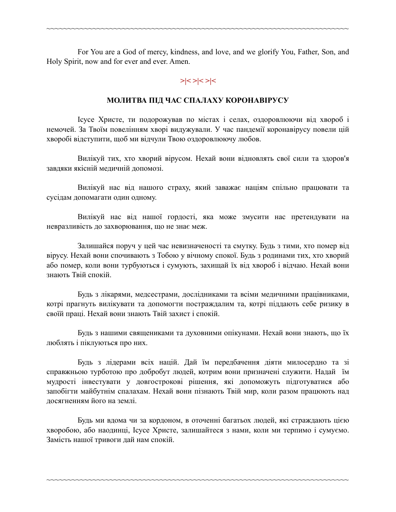For You are a God of mercy, kindness, and love, and we glorify You, Father, Son, and Holy Spirit, now and for ever and ever. Amen.

~~~~~~~~~~~~~~~~~~~~~~~~~~~~~~~~~~~~~~~~~~~~~~~~~~~~~~~~~~~~~~~~~~~~~~~~

### **>|< >|< >|<**

#### **МОЛИТВА ПІД ЧАС СПАЛАХУ КОРОНАВІРУСУ**

Ісусе Христе, ти подорожував по містах і селах, оздоровлюючи від хвороб і немочей. За Твоїм повелінням хворі видужували. У час пандемії коронавірусу повели цій хворобі відступити, щоб ми відчули Твою оздоровлюючу любов.

Вилікуй тих, хто хворий вірусом. Нехай вони відновлять свої сили та здоров'я завдяки якісній медичній допомозі.

Вилікуй нас від нашого страху, який заважає націям спільно працювати та сусідам допомагати один одному.

Вилікуй нас від нашої гордості, яка може змусити нас претендувати на невразливість до захворювання, що не знає меж.

Залишайся поруч у цей час невизначеності та смутку. Будь з тими, хто помер від вірусу. Нехай вони спочивають з Тобою у вічному спокої. Будь з родинами тих, хто хворий або помер, коли вони турбуються і сумують, захищай їх від хвороб і відчаю. Нехай вони знають Твій спокій.

Будь з лікарями, медсестрами, дослідниками та всіми медичними працівниками, котрі прагнуть вилікувати та допомогти постраждалим та, котрі піддають себе ризику в своїй праці. Нехай вони знають Твій захист і спокій.

Будь з нашими священиками та духовними опікунами. Нехай вони знають, що їх люблять і піклуються про них.

Будь з лідерами всіх націй. Дай їм передбачення діяти милосердно та зі справжньою турботою про добробут людей, котрим вони призначені служити. Надай їм мудрості інвестувати у довгострокові рішення, які допоможуть підготуватися або запобігти майбутнім спалахам. Нехай вони пізнають Твій мир, коли разом працюють над досягненням його на землі.

Будь ми вдома чи за кордоном, в оточенні багатьох людей, які страждають цією хворобою, або наодинці, Ісусе Христе, залишайтеся з нами, коли ми терпимо і сумуємо. Замість нашої тривоги дай нам спокій.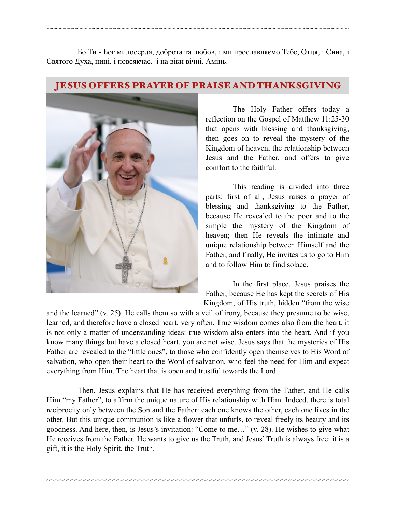Бо Ти - Бог милосердя, доброта та любов, і ми прославляємо Тебе, Отця, і Сина, і Святого Духа, нині, і повсякчас, і на віки вічні. Амінь.

~~~~~~~~~~~~~~~~~~~~~~~~~~~~~~~~~~~~~~~~~~~~~~~~~~~~~~~~~~~~~~~~~~~~~~~~

### JESUS OFFERS PRAYER OF PRAISE AND THANKSGIVING



 The Holy Father offers today a reflection on the Gospel of Matthew 11:25-30 that opens with blessing and thanksgiving, then goes on to reveal the mystery of the Kingdom of heaven, the relationship between Jesus and the Father, and offers to give comfort to the faithful.

 This reading is divided into three parts: first of all, Jesus raises a prayer of blessing and thanksgiving to the Father, because He revealed to the poor and to the simple the mystery of the Kingdom of heaven; then He reveals the intimate and unique relationship between Himself and the Father, and finally, He invites us to go to Him and to follow Him to find solace.

 In the first place, Jesus praises the Father, because He has kept the secrets of His Kingdom, of His truth, hidden "from the wise

and the learned" (v. 25). He calls them so with a veil of irony, because they presume to be wise, learned, and therefore have a closed heart, very often. True wisdom comes also from the heart, it is not only a matter of understanding ideas: true wisdom also enters into the heart. And if you know many things but have a closed heart, you are not wise. Jesus says that the mysteries of His Father are revealed to the "little ones", to those who confidently open themselves to His Word of salvation, who open their heart to the Word of salvation, who feel the need for Him and expect everything from Him. The heart that is open and trustful towards the Lord.

Then, Jesus explains that He has received everything from the Father, and He calls Him "my Father", to affirm the unique nature of His relationship with Him. Indeed, there is total reciprocity only between the Son and the Father: each one knows the other, each one lives in the other. But this unique communion is like a flower that unfurls, to reveal freely its beauty and its goodness. And here, then, is Jesus's invitation: "Come to me…" (v. 28). He wishes to give what He receives from the Father. He wants to give us the Truth, and Jesus' Truth is always free: it is a gift, it is the Holy Spirit, the Truth.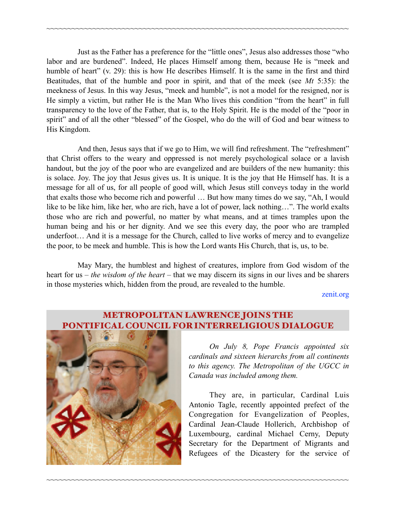Just as the Father has a preference for the "little ones", Jesus also addresses those "who labor and are burdened". Indeed, He places Himself among them, because He is "meek and humble of heart" (v. 29): this is how He describes Himself. It is the same in the first and third Beatitudes, that of the humble and poor in spirit, and that of the meek (see *Mt* 5:35): the meekness of Jesus. In this way Jesus, "meek and humble", is not a model for the resigned, nor is He simply a victim, but rather He is the Man Who lives this condition "from the heart" in full transparency to the love of the Father, that is, to the Holy Spirit. He is the model of the "poor in spirit" and of all the other "blessed" of the Gospel, who do the will of God and bear witness to His Kingdom.

~~~~~~~~~~~~~~~~~~~~~~~~~~~~~~~~~~~~~~~~~~~~~~~~~~~~~~~~~~~~~~~~~~~~~~~~

And then, Jesus says that if we go to Him, we will find refreshment. The "refreshment" that Christ offers to the weary and oppressed is not merely psychological solace or a lavish handout, but the joy of the poor who are evangelized and are builders of the new humanity: this is solace. Joy. The joy that Jesus gives us. It is unique. It is the joy that He Himself has. It is a message for all of us, for all people of good will, which Jesus still conveys today in the world that exalts those who become rich and powerful … But how many times do we say, "Ah, I would like to be like him, like her, who are rich, have a lot of power, lack nothing…". The world exalts those who are rich and powerful, no matter by what means, and at times tramples upon the human being and his or her dignity. And we see this every day, the poor who are trampled underfoot… And it is a message for the Church, called to live works of mercy and to evangelize the poor, to be meek and humble. This is how the Lord wants His Church, that is, us, to be.

May Mary, the humblest and highest of creatures, implore from God wisdom of the heart for us – *the wisdom of the heart* – that we may discern its signs in our lives and be sharers in those mysteries which, hidden from the proud, are revealed to the humble.

[zenit.org](http://zenit.org) 



### METROPOLITAN LAWRENCE JOINS THE **IFICAL COUNCIL FOR INTERRELIGIOUS DIALOGUE**

~~~~~~~~~~~~~~~~~~~~~~~~~~~~~~~~~~~~~~~~~~~~~~~~~~~~~~~~~~~~~~~~~~~~~~~~

 *On July 8, Pope Francis appointed six cardinals and sixteen hierarchs from all continents to this agency. The Metropolitan of the UGCC in Canada was included among them.* 

 They are, in particular, Cardinal Luis Antonio Tagle, recently appointed prefect of the Congregation for Evangelization of Peoples, Cardinal Jean-Claude Hollerich, Archbishop of Luxembourg, cardinal Michael Cerny, Deputy Secretary for the Department of Migrants and Refugees of the Dicastery for the service of